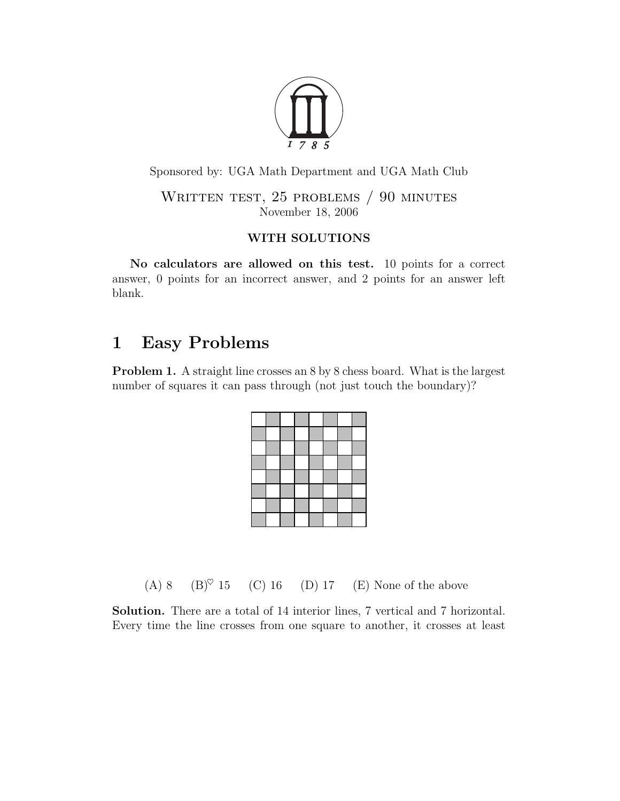

Sponsored by: UGA Math Department and UGA Math Club

WRITTEN TEST, 25 PROBLEMS / 90 MINUTES November 18, 2006

## WITH SOLUTIONS

No calculators are allowed on this test. 10 points for a correct answer, 0 points for an incorrect answer, and 2 points for an answer left blank.

## 1 Easy Problems

Problem 1. A straight line crosses an 8 by 8 chess board. What is the largest number of squares it can pass through (not just touch the boundary)?

(A) 8 (B) $\degree$  15 (C) 16 (D) 17 (E) None of the above

Solution. There are a total of 14 interior lines, 7 vertical and 7 horizontal. Every time the line crosses from one square to another, it crosses at least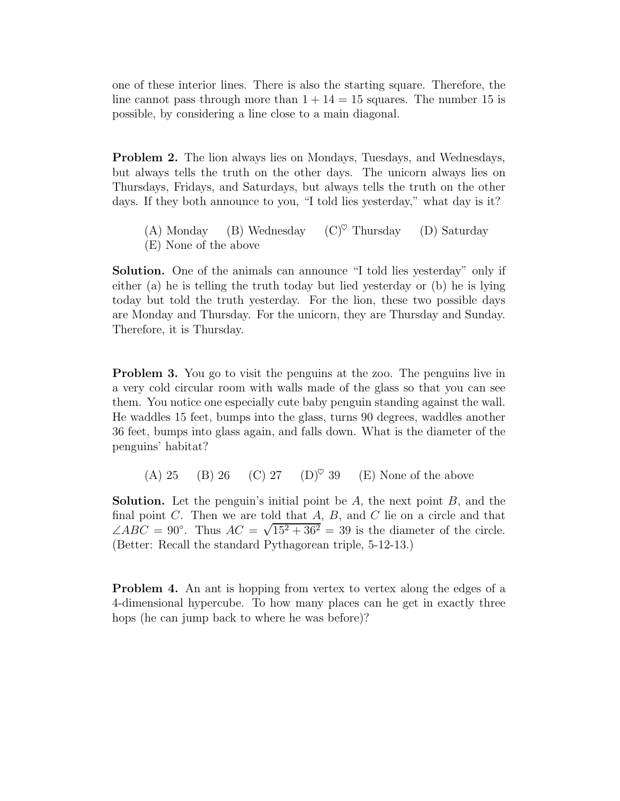one of these interior lines. There is also the starting square. Therefore, the line cannot pass through more than  $1 + 14 = 15$  squares. The number 15 is possible, by considering a line close to a main diagonal.

Problem 2. The lion always lies on Mondays, Tuesdays, and Wednesdays, but always tells the truth on the other days. The unicorn always lies on Thursdays, Fridays, and Saturdays, but always tells the truth on the other days. If they both announce to you, "I told lies yesterday," what day is it?

- (A) Monday (B) Wednesday  $(C)^\heartsuit$  Thursday (D) Saturday
- (E) None of the above

Solution. One of the animals can announce "I told lies yesterday" only if either (a) he is telling the truth today but lied yesterday or (b) he is lying today but told the truth yesterday. For the lion, these two possible days are Monday and Thursday. For the unicorn, they are Thursday and Sunday. Therefore, it is Thursday.

Problem 3. You go to visit the penguins at the zoo. The penguins live in a very cold circular room with walls made of the glass so that you can see them. You notice one especially cute baby penguin standing against the wall. He waddles 15 feet, bumps into the glass, turns 90 degrees, waddles another 36 feet, bumps into glass again, and falls down. What is the diameter of the penguins' habitat?

(A) 25 (B) 26 (C) 27 (D)<sup> $\heartsuit$ </sup> 39 (E) None of the above

**Solution.** Let the penguin's initial point be  $A$ , the next point  $B$ , and the final point  $C$ . Then we are told that  $A$ ,  $B$ , and  $C$  lie on a circle and that  $\angle ABC = 90^\circ$ . Thus  $AC = \sqrt{15^2 + 36^2} = 39$  is the diameter of the circle. (Better: Recall the standard Pythagorean triple, 5-12-13.)

Problem 4. An ant is hopping from vertex to vertex along the edges of a 4-dimensional hypercube. To how many places can he get in exactly three hops (he can jump back to where he was before)?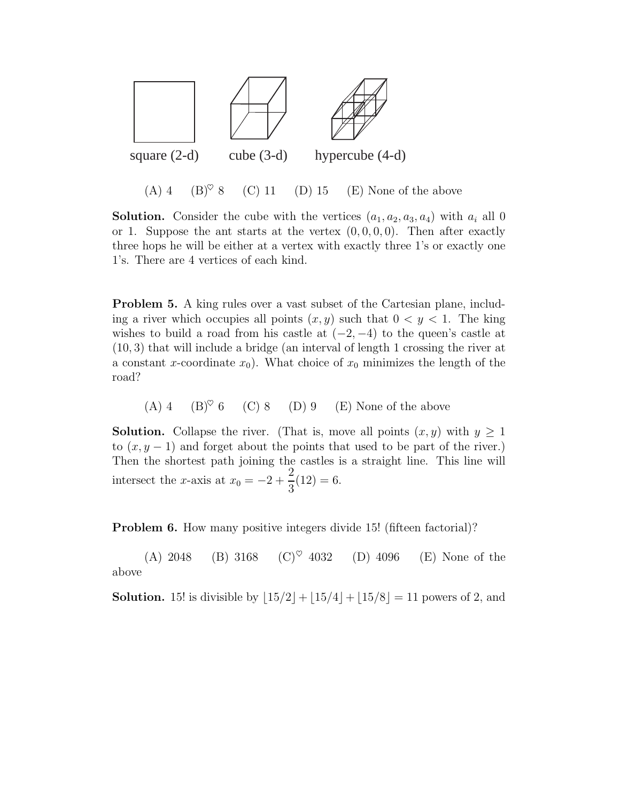

(A) 4 (B)<sup> $\heartsuit$ </sup> 8 (C) 11 (D) 15 (E) None of the above

**Solution.** Consider the cube with the vertices  $(a_1, a_2, a_3, a_4)$  with  $a_i$  all 0 or 1. Suppose the ant starts at the vertex  $(0, 0, 0, 0)$ . Then after exactly three hops he will be either at a vertex with exactly three 1's or exactly one 1's. There are 4 vertices of each kind.

Problem 5. A king rules over a vast subset of the Cartesian plane, including a river which occupies all points  $(x, y)$  such that  $0 \lt y \lt 1$ . The king wishes to build a road from his castle at  $(-2, -4)$  to the queen's castle at (10, 3) that will include a bridge (an interval of length 1 crossing the river at a constant x-coordinate  $x_0$ ). What choice of  $x_0$  minimizes the length of the road?

(A) 4 (B) $\degree$  6 (C) 8 (D) 9 (E) None of the above

**Solution.** Collapse the river. (That is, move all points  $(x, y)$  with  $y \ge 1$ to  $(x, y - 1)$  and forget about the points that used to be part of the river.) Then the shortest path joining the castles is a straight line. This line will intersect the x-axis at  $x_0 = -2 +$ 2 3  $(12) = 6.$ 

**Problem 6.** How many positive integers divide 15! (fifteen factorial)?

(A) 2048 (B) 3168 (C)<sup> $\heartsuit$ </sup> 4032 (D) 4096 (E) None of the above

**Solution.** 15! is divisible by  $\lfloor 15/2 \rfloor + \lfloor 15/4 \rfloor + \lfloor 15/8 \rfloor = 11$  powers of 2, and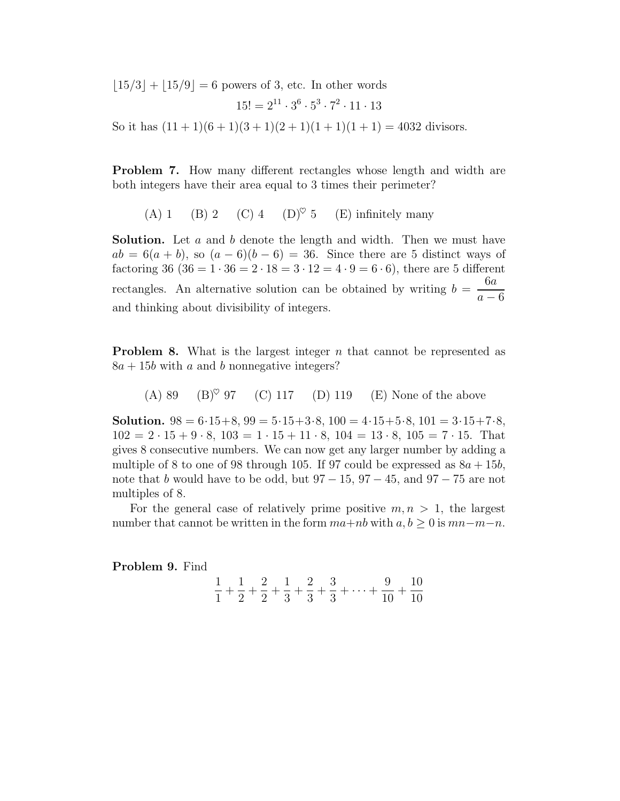$|15/3| + |15/9| = 6$  powers of 3, etc. In other words

$$
15! = 2^{11} \cdot 3^6 \cdot 5^3 \cdot 7^2 \cdot 11 \cdot 13
$$

So it has  $(11 + 1)(6 + 1)(3 + 1)(2 + 1)(1 + 1)(1 + 1) = 4032$  divisors.

Problem 7. How many different rectangles whose length and width are both integers have their area equal to 3 times their perimeter?

(A) 1 (B) 2 (C) 4 (D)<sup> $\heartsuit$ </sup> 5 (E) infinitely many

Solution. Let a and b denote the length and width. Then we must have  $ab = 6(a + b)$ , so  $(a - 6)(b - 6) = 36$ . Since there are 5 distinct ways of factoring 36 (36 =  $1 \cdot 36 = 2 \cdot 18 = 3 \cdot 12 = 4 \cdot 9 = 6 \cdot 6$ ), there are 5 different rectangles. An alternative solution can be obtained by writing  $b =$ 6a  $a - 6$ and thinking about divisibility of integers.

**Problem 8.** What is the largest integer  $n$  that cannot be represented as  $8a + 15b$  with a and b nonnegative integers?

(A) 89 (B)♥ 97 (C) 117 (D) 119 (E) None of the above

**Solution.**  $98 = 6.15 + 8$ ,  $99 = 5.15 + 3.8$ ,  $100 = 4.15 + 5.8$ ,  $101 = 3.15 + 7.8$ ,  $102 = 2 \cdot 15 + 9 \cdot 8$ ,  $103 = 1 \cdot 15 + 11 \cdot 8$ ,  $104 = 13 \cdot 8$ ,  $105 = 7 \cdot 15$ . That gives 8 consecutive numbers. We can now get any larger number by adding a multiple of 8 to one of 98 through 105. If 97 could be expressed as  $8a + 15b$ , note that b would have to be odd, but  $97 - 15$ ,  $97 - 45$ , and  $97 - 75$  are not multiples of 8.

For the general case of relatively prime positive  $m, n > 1$ , the largest number that cannot be written in the form  $ma+nb$  with  $a, b \ge 0$  is  $mn-m-n$ .

Problem 9. Find

$$
\frac{1}{1} + \frac{1}{2} + \frac{2}{2} + \frac{1}{3} + \frac{2}{3} + \frac{3}{3} + \dots + \frac{9}{10} + \frac{10}{10}
$$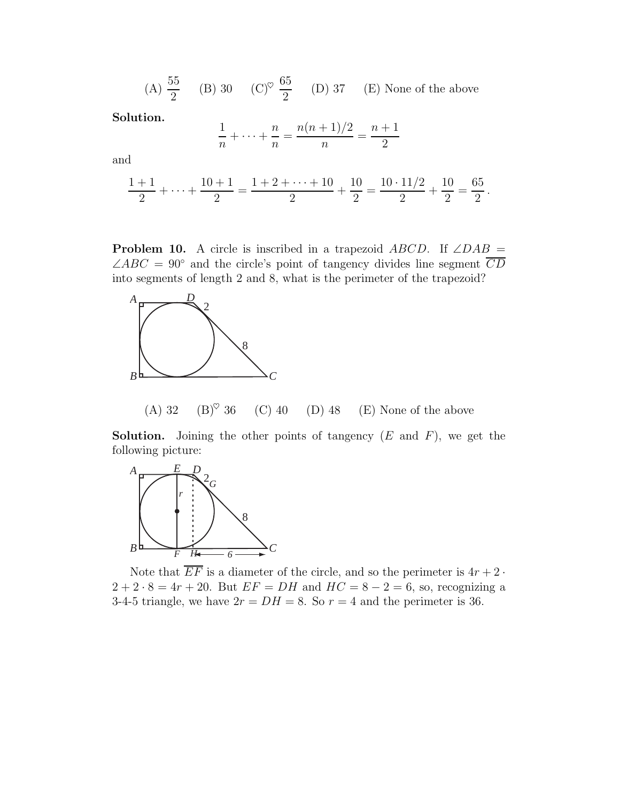$(A) \frac{55}{2}$ 2  $(B)$  30  $(C)^\heartsuit$ 65 2 (D) 37 (E) None of the above

Solution.

$$
\frac{1}{n} + \dots + \frac{n}{n} = \frac{n(n+1)/2}{n} = \frac{n+1}{2}
$$

and

$$
\frac{1+1}{2} + \dots + \frac{10+1}{2} = \frac{1+2+\dots+10}{2} + \frac{10}{2} = \frac{10 \cdot 11/2}{2} + \frac{10}{2} = \frac{65}{2}.
$$

**Problem 10.** A circle is inscribed in a trapezoid  $ABCD$ . If  $\angle DAB$  =  $\angle ABC = 90^{\circ}$  and the circle's point of tangency divides line segment  $\overline{CD}$ into segments of length 2 and 8, what is the perimeter of the trapezoid?



(A) 32 (B)<sup> $\heartsuit$ </sup> 36 (C) 40 (D) 48 (E) None of the above

**Solution.** Joining the other points of tangency  $(E \text{ and } F)$ , we get the following picture:



Note that  $EF$  is a diameter of the circle, and so the perimeter is  $4r + 2$ .  $2 + 2 \cdot 8 = 4r + 20$ . But  $EF = DH$  and  $HC = 8 - 2 = 6$ , so, recognizing a 3-4-5 triangle, we have  $2r = DH = 8$ . So  $r = 4$  and the perimeter is 36.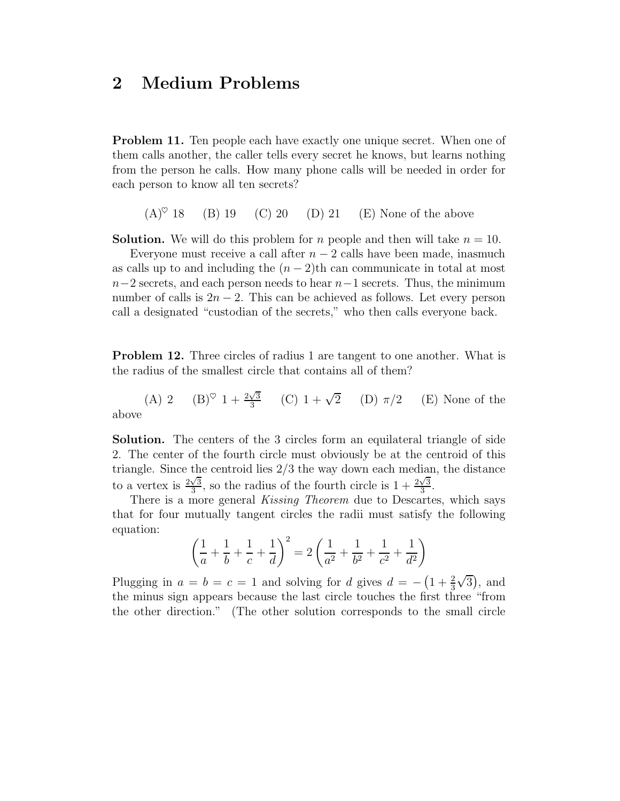## 2 Medium Problems

Problem 11. Ten people each have exactly one unique secret. When one of them calls another, the caller tells every secret he knows, but learns nothing from the person he calls. How many phone calls will be needed in order for each person to know all ten secrets?

 $(A)^\heartsuit$  18 (B) 19 (C) 20 (D) 21 (E) None of the above

**Solution.** We will do this problem for n people and then will take  $n = 10$ .

Everyone must receive a call after  $n-2$  calls have been made, inasmuch as calls up to and including the  $(n-2)$ th can communicate in total at most  $n-2$  secrets, and each person needs to hear  $n-1$  secrets. Thus, the minimum number of calls is  $2n - 2$ . This can be achieved as follows. Let every person call a designated "custodian of the secrets," who then calls everyone back.

Problem 12. Three circles of radius 1 are tangent to one another. What is the radius of the smallest circle that contains all of them?

(A) 2 (B)<sup> $\heartsuit$ </sup> 1 +  $\frac{2\sqrt{3}}{3}$  $\frac{\sqrt{3}}{3}$  (C)  $1 + \sqrt{3}$  $(E)$  None of the above

Solution. The centers of the 3 circles form an equilateral triangle of side 2. The center of the fourth circle must obviously be at the centroid of this triangle. Since the centroid lies 2/3 the way down each median, the distance to a vertex is  $\frac{2\sqrt{3}}{3}$  $\frac{\sqrt{3}}{3}$ , so the radius of the fourth circle is  $1 + \frac{2\sqrt{3}}{3}$  $\frac{\sqrt{3}}{3}$ .

There is a more general *Kissing Theorem* due to Descartes, which says that for four mutually tangent circles the radii must satisfy the following equation:

$$
\left(\frac{1}{a} + \frac{1}{b} + \frac{1}{c} + \frac{1}{d}\right)^2 = 2\left(\frac{1}{a^2} + \frac{1}{b^2} + \frac{1}{c^2} + \frac{1}{d^2}\right)
$$

Plugging in  $a = b = c = 1$  and solving for d gives  $d = -\left(1 + \frac{2}{3}\right)$  $\sqrt{3}$ , and the minus sign appears because the last circle touches the first three "from the other direction." (The other solution corresponds to the small circle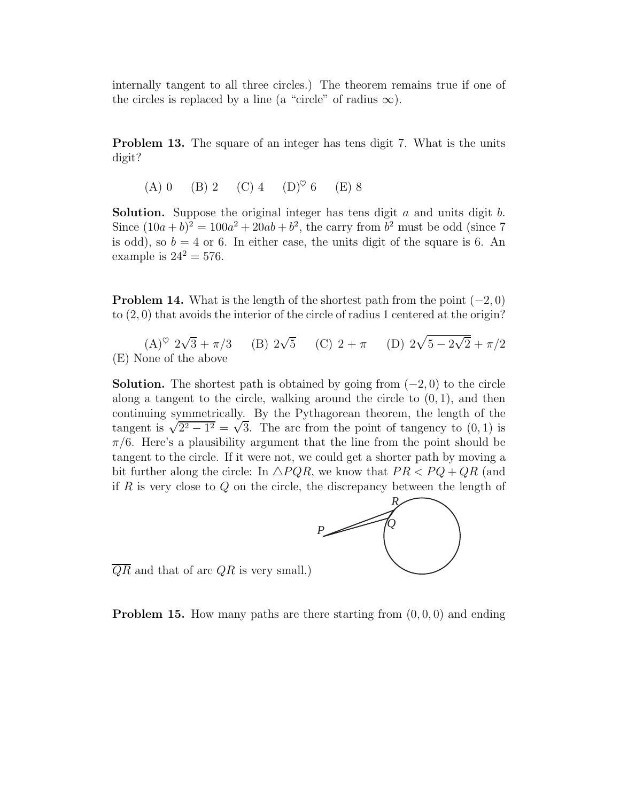internally tangent to all three circles.) The theorem remains true if one of the circles is replaced by a line (a "circle" of radius  $\infty$ ).

Problem 13. The square of an integer has tens digit 7. What is the units digit?

(A) 0 (B) 2 (C) 4 (D)♥ 6 (E) 8

**Solution.** Suppose the original integer has tens digit  $a$  and units digit  $b$ . Since  $(10a + b)^2 = 100a^2 + 20ab + b^2$ , the carry from  $b^2$  must be odd (since 7) is odd), so  $b = 4$  or 6. In either case, the units digit of the square is 6. An example is  $24^2 = 576$ .

**Problem 14.** What is the length of the shortest path from the point  $(-2, 0)$ to  $(2,0)$  that avoids the interior of the circle of radius 1 centered at the origin?

 $(A)^\heartsuit$  2 $\sqrt{3} + \pi/3$  (B) 2 $\sqrt{5}$  (C) 2 +  $\pi$  (D) 2 $\sqrt{5 - 2\sqrt{2}} + \pi/2$ (E) None of the above

**Solution.** The shortest path is obtained by going from  $(-2, 0)$  to the circle along a tangent to the circle, walking around the circle to  $(0, 1)$ , and then continuing symmetrically. By the Pythagorean theorem, the length of the tangent is  $\sqrt{2^2 - 1^2} = \sqrt{3}$ . The arc from the point of tangency to  $(0, 1)$  is  $\pi/6$ . Here's a plausibility argument that the line from the point should be tangent to the circle. If it were not, we could get a shorter path by moving a bit further along the circle: In  $\triangle PQR$ , we know that  $PR < PQ + QR$  (and if  $R$  is very close to  $Q$  on the circle, the discrepancy between the length of



 $\overline{QR}$  and that of arc QR is very small.)

**Problem 15.** How many paths are there starting from  $(0, 0, 0)$  and ending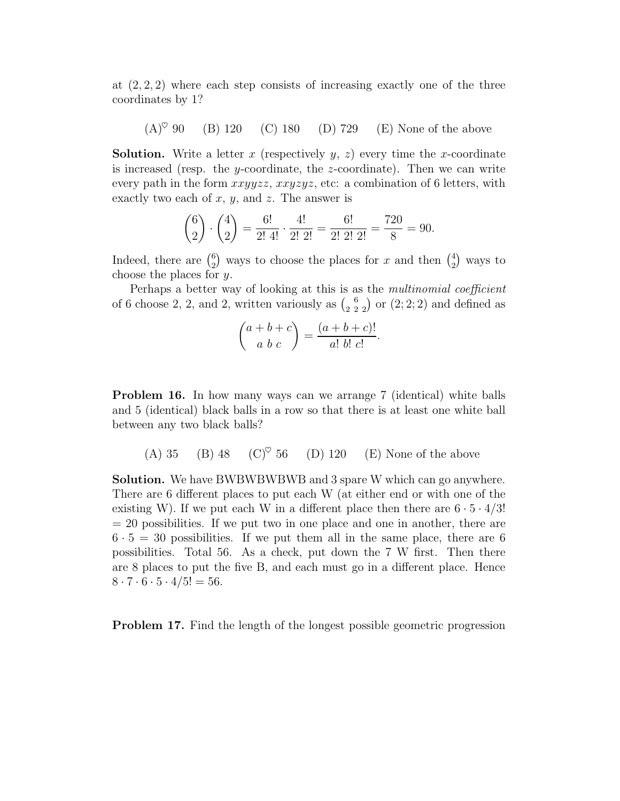at  $(2, 2, 2)$  where each step consists of increasing exactly one of the three coordinates by 1?

 $(A)^\heartsuit$  90 (B) 120 (C) 180 (D) 729 (E) None of the above

**Solution.** Write a letter x (respectively  $y$ ,  $z$ ) every time the x-coordinate is increased (resp. the y-coordinate, the z-coordinate). Then we can write every path in the form  $xxyyzz$ ,  $xxyzyz$ , etc: a combination of 6 letters, with exactly two each of  $x, y$ , and  $z$ . The answer is

$$
\binom{6}{2} \cdot \binom{4}{2} = \frac{6!}{2! \ 4!} \cdot \frac{4!}{2! \ 2!} = \frac{6!}{2! \ 2! \ 2!} = \frac{720}{8} = 90.
$$

Indeed, there are  $\binom{6}{2}$  $_{2}^{6}$ ) ways to choose the places for x and then  $_{2}^{4}$  $_{2}^{4}$ ) ways to choose the places for y.

Perhaps a better way of looking at this is as the multinomial coefficient of 6 choose 2, 2, and 2, written variously as  $\binom{6}{2\ 2\ 2}$  or  $(2; 2; 2)$  and defined as

$$
\binom{a+b+c}{a b c} = \frac{(a+b+c)!}{a! b! c!}.
$$

Problem 16. In how many ways can we arrange 7 (identical) white balls and 5 (identical) black balls in a row so that there is at least one white ball between any two black balls?

(A) 35 (B) 48 (C)♥ 56 (D) 120 (E) None of the above

Solution. We have BWBWBWBWB and 3 spare W which can go anywhere. There are 6 different places to put each W (at either end or with one of the existing W). If we put each W in a different place then there are  $6 \cdot 5 \cdot 4/3!$  $= 20$  possibilities. If we put two in one place and one in another, there are  $6 \cdot 5 = 30$  possibilities. If we put them all in the same place, there are 6 possibilities. Total 56. As a check, put down the 7 W first. Then there are 8 places to put the five B, and each must go in a different place. Hence  $8 \cdot 7 \cdot 6 \cdot 5 \cdot 4/5! = 56.$ 

Problem 17. Find the length of the longest possible geometric progression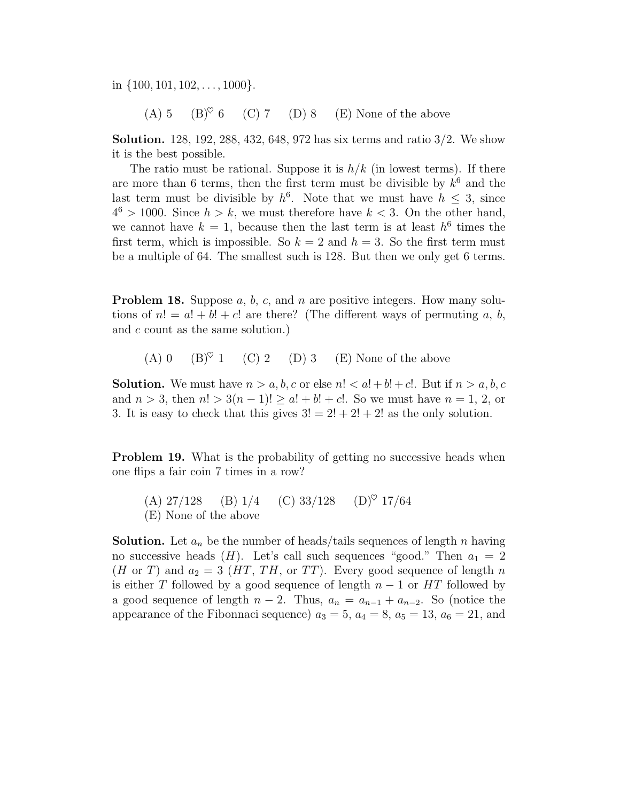in  $\{100, 101, 102, \ldots, 1000\}.$ 

(A) 5 (B)<sup> $\heartsuit$ </sup> 6 (C) 7 (D) 8 (E) None of the above

Solution. 128, 192, 288, 432, 648, 972 has six terms and ratio 3/2. We show it is the best possible.

The ratio must be rational. Suppose it is  $h/k$  (in lowest terms). If there are more than 6 terms, then the first term must be divisible by  $k^6$  and the last term must be divisible by  $h^6$ . Note that we must have  $h \leq 3$ , since  $4^6 > 1000$ . Since  $h > k$ , we must therefore have  $k < 3$ . On the other hand, we cannot have  $k = 1$ , because then the last term is at least  $h^6$  times the first term, which is impossible. So  $k = 2$  and  $h = 3$ . So the first term must be a multiple of 64. The smallest such is 128. But then we only get 6 terms.

**Problem 18.** Suppose  $a, b, c$ , and  $n$  are positive integers. How many solutions of  $n! = a! + b! + c!$  are there? (The different ways of permuting a, b, and c count as the same solution.)

(A) 0  $(B)^{\heartsuit}$  1 (C) 2 (D) 3 (E) None of the above

**Solution.** We must have  $n > a, b, c$  or else  $n! < a! + b! + c!$ . But if  $n > a, b, c$ and  $n > 3$ , then  $n! > 3(n-1)! \ge a! + b! + c!$ . So we must have  $n = 1, 2,$  or 3. It is easy to check that this gives  $3! = 2! + 2! + 2!$  as the only solution.

**Problem 19.** What is the probability of getting no successive heads when one flips a fair coin 7 times in a row?

(A)  $27/128$  (B)  $1/4$  (C)  $33/128$  (D)<sup> $\heartsuit$ </sup> 17/64 (E) None of the above

**Solution.** Let  $a_n$  be the number of heads/tails sequences of length n having no successive heads  $(H)$ . Let's call such sequences "good." Then  $a_1 = 2$ (*H* or *T*) and  $a_2 = 3$  (*HT*, *TH*, or *TT*). Every good sequence of length *n* is either T followed by a good sequence of length  $n-1$  or HT followed by a good sequence of length  $n-2$ . Thus,  $a_n = a_{n-1} + a_{n-2}$ . So (notice the appearance of the Fibonnaci sequence)  $a_3 = 5$ ,  $a_4 = 8$ ,  $a_5 = 13$ ,  $a_6 = 21$ , and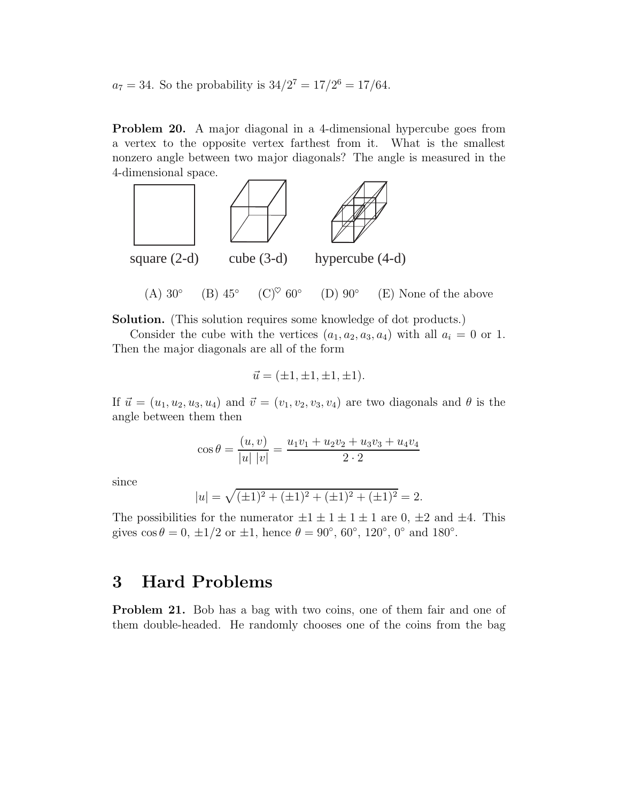$a_7 = 34$ . So the probability is  $34/2^7 = 17/2^6 = 17/64$ .

Problem 20. A major diagonal in a 4-dimensional hypercube goes from a vertex to the opposite vertex farthest from it. What is the smallest nonzero angle between two major diagonals? The angle is measured in the 4-dimensional space.



Solution. (This solution requires some knowledge of dot products.)

Consider the cube with the vertices  $(a_1, a_2, a_3, a_4)$  with all  $a_i = 0$  or 1. Then the major diagonals are all of the form

$$
\vec{u} = (\pm 1, \pm 1, \pm 1, \pm 1).
$$

If  $\vec{u} = (u_1, u_2, u_3, u_4)$  and  $\vec{v} = (v_1, v_2, v_3, v_4)$  are two diagonals and  $\theta$  is the angle between them then

$$
\cos \theta = \frac{(u, v)}{|u| |v|} = \frac{u_1 v_1 + u_2 v_2 + u_3 v_3 + u_4 v_4}{2 \cdot 2}
$$

since

$$
|u| = \sqrt{(\pm 1)^2 + (\pm 1)^2 + (\pm 1)^2 + (\pm 1)^2} = 2.
$$

The possibilities for the numerator  $\pm 1 \pm 1 \pm 1 \pm 1$  are 0,  $\pm 2$  and  $\pm 4$ . This gives  $\cos \theta = 0, \pm 1/2$  or  $\pm 1$ , hence  $\theta = 90^{\circ}, 60^{\circ}, 120^{\circ}, 0^{\circ}$  and  $180^{\circ}$ .

## 3 Hard Problems

Problem 21. Bob has a bag with two coins, one of them fair and one of them double-headed. He randomly chooses one of the coins from the bag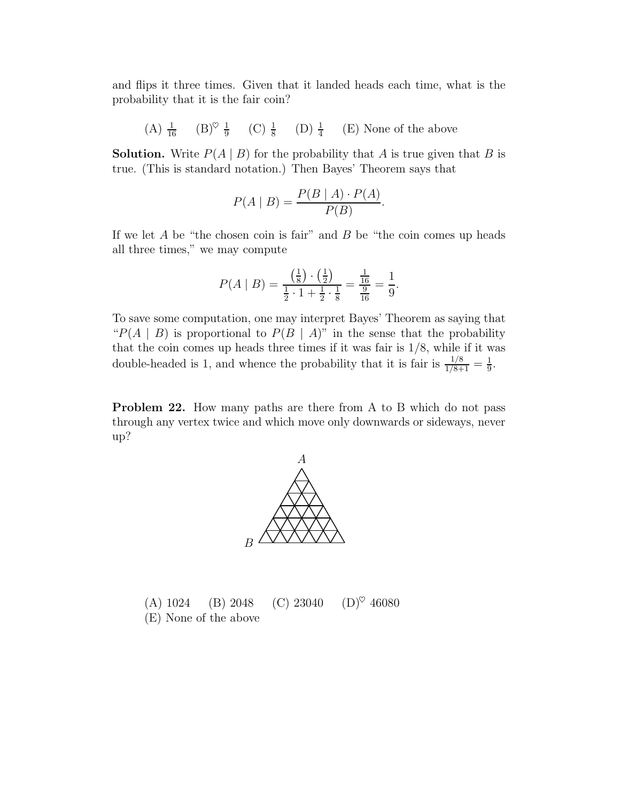and flips it three times. Given that it landed heads each time, what is the probability that it is the fair coin?

(A)  $\frac{1}{16}$  (B)<sup> $\heartsuit$ </sup>  $\frac{1}{9}$  (C)  $\frac{1}{8}$  (D)  $\frac{1}{4}$  (E) None of the above

**Solution.** Write  $P(A | B)$  for the probability that A is true given that B is true. (This is standard notation.) Then Bayes' Theorem says that

$$
P(A | B) = \frac{P(B | A) \cdot P(A)}{P(B)}.
$$

If we let  $A$  be "the chosen coin is fair" and  $B$  be "the coin comes up heads all three times," we may compute

$$
P(A \mid B) = \frac{\left(\frac{1}{8}\right) \cdot \left(\frac{1}{2}\right)}{\frac{1}{2} \cdot 1 + \frac{1}{2} \cdot \frac{1}{8}} = \frac{\frac{1}{16}}{\frac{9}{16}} = \frac{1}{9}.
$$

To save some computation, one may interpret Bayes' Theorem as saying that " $P(A | B)$  is proportional to  $P(B | A)$ " in the sense that the probability that the coin comes up heads three times if it was fair is  $1/8$ , while if it was double-headed is 1, and whence the probability that it is fair is  $\frac{1/8}{1/8+1} = \frac{1}{9}$  $\frac{1}{9}$ .

Problem 22. How many paths are there from A to B which do not pass through any vertex twice and which move only downwards or sideways, never up?



(A) 1024 (B) 2048 (C) 23040 (D)<sup> $\heartsuit$ </sup> 46080 (E) None of the above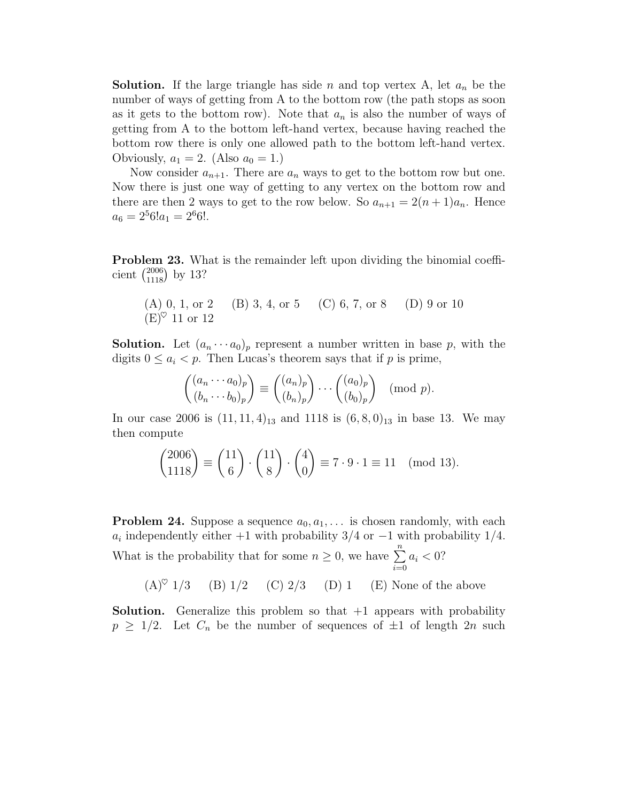**Solution.** If the large triangle has side n and top vertex A, let  $a_n$  be the number of ways of getting from A to the bottom row (the path stops as soon as it gets to the bottom row). Note that  $a_n$  is also the number of ways of getting from A to the bottom left-hand vertex, because having reached the bottom row there is only one allowed path to the bottom left-hand vertex. Obviously,  $a_1 = 2$ . (Also  $a_0 = 1$ .)

Now consider  $a_{n+1}$ . There are  $a_n$  ways to get to the bottom row but one. Now there is just one way of getting to any vertex on the bottom row and there are then 2 ways to get to the row below. So  $a_{n+1} = 2(n+1)a_n$ . Hence  $a_6 = 2^5 6! a_1 = 2^6 6!$ .

Problem 23. What is the remainder left upon dividing the binomial coefficient  $\binom{2006}{1118}$  by 13?

(A) 0, 1, or 2 (B) 3, 4, or 5 (C) 6, 7, or 8 (D) 9 or 10 
$$
(E)
$$
<sup>o</sup> 11 or 12

**Solution.** Let  $(a_n \cdots a_0)_p$  represent a number written in base p, with the digits  $0 \leq a_i < p$ . Then Lucas's theorem says that if p is prime,

$$
\begin{pmatrix} (a_n \cdots a_0)_p \ (b_n \cdots b_0)_p \end{pmatrix} \equiv \begin{pmatrix} (a_n)_p \ (b_n)_p \end{pmatrix} \cdots \begin{pmatrix} (a_0)_p \ (b_0)_p \end{pmatrix} \pmod{p}.
$$

In our case 2006 is  $(11, 11, 4)_{13}$  and 1118 is  $(6, 8, 0)_{13}$  in base 13. We may then compute

$$
\binom{2006}{1118} \equiv \binom{11}{6} \cdot \binom{11}{8} \cdot \binom{4}{0} \equiv 7 \cdot 9 \cdot 1 \equiv 11 \pmod{13}.
$$

**Problem 24.** Suppose a sequence  $a_0, a_1, \ldots$  is chosen randomly, with each  $a_i$  independently either +1 with probability 3/4 or -1 with probability 1/4. What is the probability that for some  $n \geq 0$ , we have  $\sum_{i=0}^{n}$  $a_i < 0$ ?

 $(A)^\heartsuit$  1/3 (B) 1/2 (C) 2/3 (D) 1 (E) None of the above

**Solution.** Generalize this problem so that  $+1$  appears with probability  $p \geq 1/2$ . Let  $C_n$  be the number of sequences of  $\pm 1$  of length  $2n$  such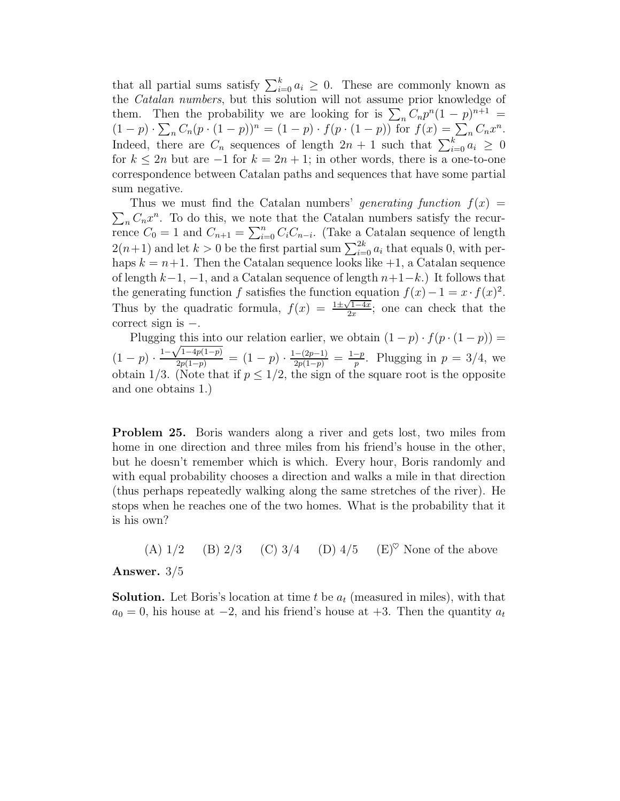that all partial sums satisfy  $\sum_{i=0}^{k} a_i \geq 0$ . These are commonly known as the Catalan numbers, but this solution will not assume prior knowledge of them. Then the probability we are looking for is  $\sum_n C_n p^n (1-p)^{n+1} =$  $(1-p) \cdot \sum_n C_n (p \cdot (1-p))^n = (1-p) \cdot f(p \cdot (1-p))$  for  $f(x) = \sum_n C_n x^n$ . Indeed, there are  $C_n$  sequences of length  $2n + 1$  such that  $\sum_{i=0}^{k} a_i \geq 0$ for  $k \leq 2n$  but are  $-1$  for  $k = 2n + 1$ ; in other words, there is a one-to-one correspondence between Catalan paths and sequences that have some partial sum negative.

 $\sum_{n} C_n x^n$ . To do this, we note that the Catalan numbers satisfy the recur-Thus we must find the Catalan numbers' generating function  $f(x) =$ rence  $C_0 = 1$  and  $C_{n+1} = \sum_{i=0}^{n} C_i C_{n-i}$ . (Take a Catalan sequence of length  $2(n+1)$  and let  $k > 0$  be the first partial sum  $\sum_{i=0}^{2k} a_i$  that equals 0, with perhaps  $k = n+1$ . Then the Catalan sequence looks like  $+1$ , a Catalan sequence of length  $k-1$ ,  $-1$ , and a Catalan sequence of length  $n+1-k$ .) It follows that the generating function f satisfies the function equation  $f(x) - 1 = x \cdot f(x)^2$ . Thus by the quadratic formula,  $f(x) = \frac{1 \pm \sqrt{1-4x}}{2x}$ ; one can check that the correct sign is −.

Plugging this into our relation earlier, we obtain  $(1-p) \cdot f(p \cdot (1-p)) =$  $(1-p) \cdot \frac{1-\sqrt{1-4p(1-p)}}{2p(1-p)} = (1-p) \cdot \frac{1-(2p-1)}{2p(1-p)} = \frac{1-p}{p}$ . Plugging in  $p = 3/4$ , we obtain 1/3. (Note that if  $p \leq 1/2$ , the sign of the square root is the opposite and one obtains 1.)

Problem 25. Boris wanders along a river and gets lost, two miles from home in one direction and three miles from his friend's house in the other, but he doesn't remember which is which. Every hour, Boris randomly and with equal probability chooses a direction and walks a mile in that direction (thus perhaps repeatedly walking along the same stretches of the river). He stops when he reaches one of the two homes. What is the probability that it is his own?

(A)  $1/2$  (B)  $2/3$  (C)  $3/4$  (D)  $4/5$  (E)<sup> $\heartsuit$ </sup> None of the above

Answer. 3/5

**Solution.** Let Boris's location at time t be  $a_t$  (measured in miles), with that  $a_0 = 0$ , his house at  $-2$ , and his friend's house at  $+3$ . Then the quantity  $a_t$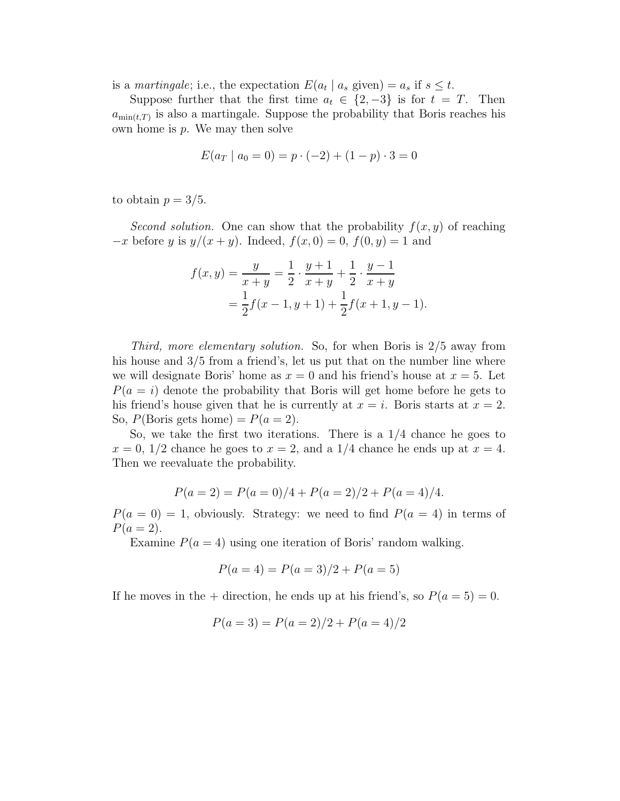is a *martingale*; i.e., the expectation  $E(a_t | a_s \text{ given}) = a_s \text{ if } s \leq t$ .

Suppose further that the first time  $a_t \in \{2, -3\}$  is for  $t = T$ . Then  $a_{\min(t,T)}$  is also a martingale. Suppose the probability that Boris reaches his own home is  $p$ . We may then solve

$$
E(a_T \mid a_0 = 0) = p \cdot (-2) + (1 - p) \cdot 3 = 0
$$

to obtain  $p = 3/5$ .

Second solution. One can show that the probability  $f(x, y)$  of reaching  $-x$  before y is  $y/(x + y)$ . Indeed,  $f(x, 0) = 0$ ,  $f(0, y) = 1$  and

$$
f(x,y) = \frac{y}{x+y} = \frac{1}{2} \cdot \frac{y+1}{x+y} + \frac{1}{2} \cdot \frac{y-1}{x+y}
$$
  
=  $\frac{1}{2}f(x-1, y+1) + \frac{1}{2}f(x+1, y-1).$ 

Third, more elementary solution. So, for when Boris is 2/5 away from his house and  $3/5$  from a friend's, let us put that on the number line where we will designate Boris' home as  $x = 0$  and his friend's house at  $x = 5$ . Let  $P(a = i)$  denote the probability that Boris will get home before he gets to his friend's house given that he is currently at  $x = i$ . Boris starts at  $x = 2$ . So,  $P(\text{Boris gets home}) = P(a = 2)$ .

So, we take the first two iterations. There is a 1/4 chance he goes to  $x = 0$ , 1/2 chance he goes to  $x = 2$ , and a 1/4 chance he ends up at  $x = 4$ . Then we reevaluate the probability.

$$
P(a = 2) = P(a = 0)/4 + P(a = 2)/2 + P(a = 4)/4.
$$

 $P(a = 0) = 1$ , obviously. Strategy: we need to find  $P(a = 4)$  in terms of  $P(a = 2)$ .

Examine  $P(a = 4)$  using one iteration of Boris' random walking.

$$
P(a = 4) = P(a = 3)/2 + P(a = 5)
$$

If he moves in the + direction, he ends up at his friend's, so  $P(a = 5) = 0$ .

$$
P(a=3) = P(a=2)/2 + P(a=4)/2
$$